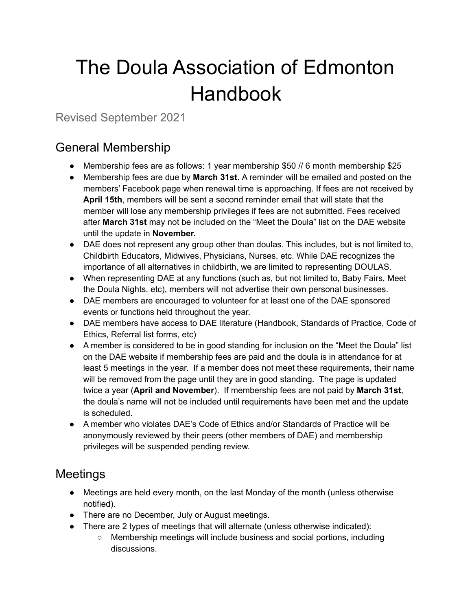# The Doula Association of Edmonton Handbook

Revised September 2021

#### General Membership

- Membership fees are as follows: 1 year membership \$50 // 6 month membership \$25
- Membership fees are due by **March 31st.** A reminder will be emailed and posted on the members' Facebook page when renewal time is approaching. If fees are not received by **April 15th**, members will be sent a second reminder email that will state that the member will lose any membership privileges if fees are not submitted. Fees received after **March 31st** may not be included on the "Meet the Doula" list on the DAE website until the update in **November.**
- DAE does not represent any group other than doulas. This includes, but is not limited to, Childbirth Educators, Midwives, Physicians, Nurses, etc. While DAE recognizes the importance of all alternatives in childbirth, we are limited to representing DOULAS.
- When representing DAE at any functions (such as, but not limited to, Baby Fairs, Meet the Doula Nights, etc), members will not advertise their own personal businesses.
- DAE members are encouraged to volunteer for at least one of the DAE sponsored events or functions held throughout the year.
- DAE members have access to DAE literature (Handbook, Standards of Practice, Code of Ethics, Referral list forms, etc)
- A member is considered to be in good standing for inclusion on the "Meet the Doula" list on the DAE website if membership fees are paid and the doula is in attendance for at least 5 meetings in the year. If a member does not meet these requirements, their name will be removed from the page until they are in good standing. The page is updated twice a year (**April and November**). If membership fees are not paid by **March 31st**, the doula's name will not be included until requirements have been met and the update is scheduled.
- A member who violates DAE's Code of Ethics and/or Standards of Practice will be anonymously reviewed by their peers (other members of DAE) and membership privileges will be suspended pending review.

## Meetings

- Meetings are held every month, on the last Monday of the month (unless otherwise notified).
- There are no December, July or August meetings.
- There are 2 types of meetings that will alternate (unless otherwise indicated):
	- Membership meetings will include business and social portions, including discussions.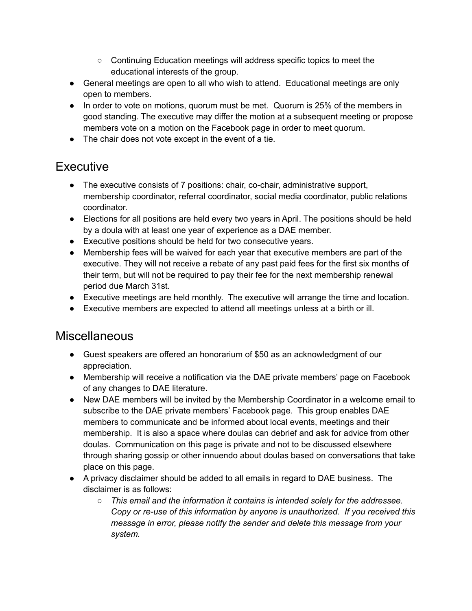- Continuing Education meetings will address specific topics to meet the educational interests of the group.
- General meetings are open to all who wish to attend. Educational meetings are only open to members.
- In order to vote on motions, quorum must be met. Quorum is 25% of the members in good standing. The executive may differ the motion at a subsequent meeting or propose members vote on a motion on the Facebook page in order to meet quorum.
- The chair does not vote except in the event of a tie.

#### **Executive**

- The executive consists of 7 positions: chair, co-chair, administrative support, membership coordinator, referral coordinator, social media coordinator, public relations coordinator.
- Elections for all positions are held every two years in April. The positions should be held by a doula with at least one year of experience as a DAE member.
- Executive positions should be held for two consecutive years.
- Membership fees will be waived for each year that executive members are part of the executive. They will not receive a rebate of any past paid fees for the first six months of their term, but will not be required to pay their fee for the next membership renewal period due March 31st.
- Executive meetings are held monthly. The executive will arrange the time and location.
- Executive members are expected to attend all meetings unless at a birth or ill.

#### Miscellaneous

- Guest speakers are offered an honorarium of \$50 as an acknowledgment of our appreciation.
- Membership will receive a notification via the DAE private members' page on Facebook of any changes to DAE literature.
- New DAE members will be invited by the Membership Coordinator in a welcome email to subscribe to the DAE private members' Facebook page. This group enables DAE members to communicate and be informed about local events, meetings and their membership. It is also a space where doulas can debrief and ask for advice from other doulas. Communication on this page is private and not to be discussed elsewhere through sharing gossip or other innuendo about doulas based on conversations that take place on this page.
- A privacy disclaimer should be added to all emails in regard to DAE business. The disclaimer is as follows:
	- *This email and the information it contains is intended solely for the addressee. Copy or re-use of this information by anyone is unauthorized. If you received this message in error, please notify the sender and delete this message from your system.*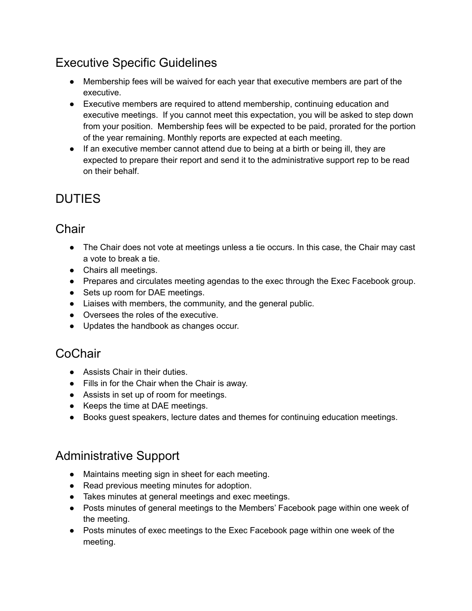## Executive Specific Guidelines

- Membership fees will be waived for each year that executive members are part of the executive.
- Executive members are required to attend membership, continuing education and executive meetings. If you cannot meet this expectation, you will be asked to step down from your position. Membership fees will be expected to be paid, prorated for the portion of the year remaining. Monthly reports are expected at each meeting.
- If an executive member cannot attend due to being at a birth or being ill, they are expected to prepare their report and send it to the administrative support rep to be read on their behalf.

# DUTIES

## **Chair**

- The Chair does not vote at meetings unless a tie occurs. In this case, the Chair may cast a vote to break a tie.
- Chairs all meetings.
- Prepares and circulates meeting agendas to the exec through the Exec Facebook group.
- Sets up room for DAE meetings.
- Liaises with members, the community, and the general public.
- Oversees the roles of the executive.
- Updates the handbook as changes occur.

#### **CoChair**

- Assists Chair in their duties.
- Fills in for the Chair when the Chair is away.
- Assists in set up of room for meetings.
- Keeps the time at DAE meetings.
- Books guest speakers, lecture dates and themes for continuing education meetings.

#### Administrative Support

- Maintains meeting sign in sheet for each meeting.
- Read previous meeting minutes for adoption.
- Takes minutes at general meetings and exec meetings.
- Posts minutes of general meetings to the Members' Facebook page within one week of the meeting.
- Posts minutes of exec meetings to the Exec Facebook page within one week of the meeting.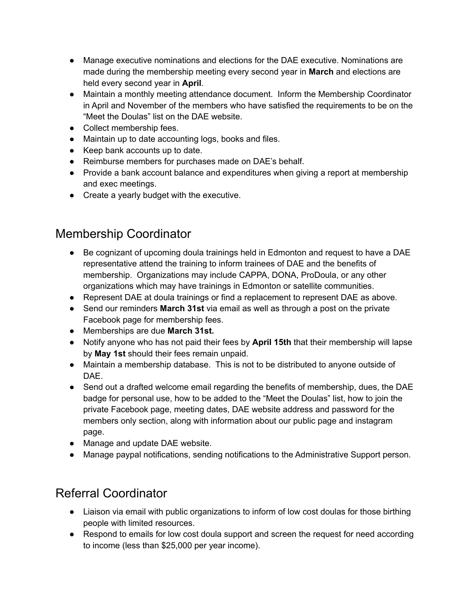- Manage executive nominations and elections for the DAE executive. Nominations are made during the membership meeting every second year in **March** and elections are held every second year in **April**.
- Maintain a monthly meeting attendance document. Inform the Membership Coordinator in April and November of the members who have satisfied the requirements to be on the "Meet the Doulas" list on the DAE website.
- Collect membership fees.
- Maintain up to date accounting logs, books and files.
- Keep bank accounts up to date.
- Reimburse members for purchases made on DAE's behalf.
- Provide a bank account balance and expenditures when giving a report at membership and exec meetings.
- Create a yearly budget with the executive.

## Membership Coordinator

- Be cognizant of upcoming doula trainings held in Edmonton and request to have a DAE representative attend the training to inform trainees of DAE and the benefits of membership. Organizations may include CAPPA, DONA, ProDoula, or any other organizations which may have trainings in Edmonton or satellite communities.
- Represent DAE at doula trainings or find a replacement to represent DAE as above.
- Send our reminders **March 31st** via email as well as through a post on the private Facebook page for membership fees.
- Memberships are due **March 31st.**
- Notify anyone who has not paid their fees by **April 15th** that their membership will lapse by **May 1st** should their fees remain unpaid.
- Maintain a membership database. This is not to be distributed to anyone outside of DAE.
- Send out a drafted welcome email regarding the benefits of membership, dues, the DAE badge for personal use, how to be added to the "Meet the Doulas" list, how to join the private Facebook page, meeting dates, DAE website address and password for the members only section, along with information about our public page and instagram page.
- Manage and update DAE website.
- Manage paypal notifications, sending notifications to the Administrative Support person.

## Referral Coordinator

- Liaison via email with public organizations to inform of low cost doulas for those birthing people with limited resources.
- Respond to emails for low cost doula support and screen the request for need according to income (less than \$25,000 per year income).